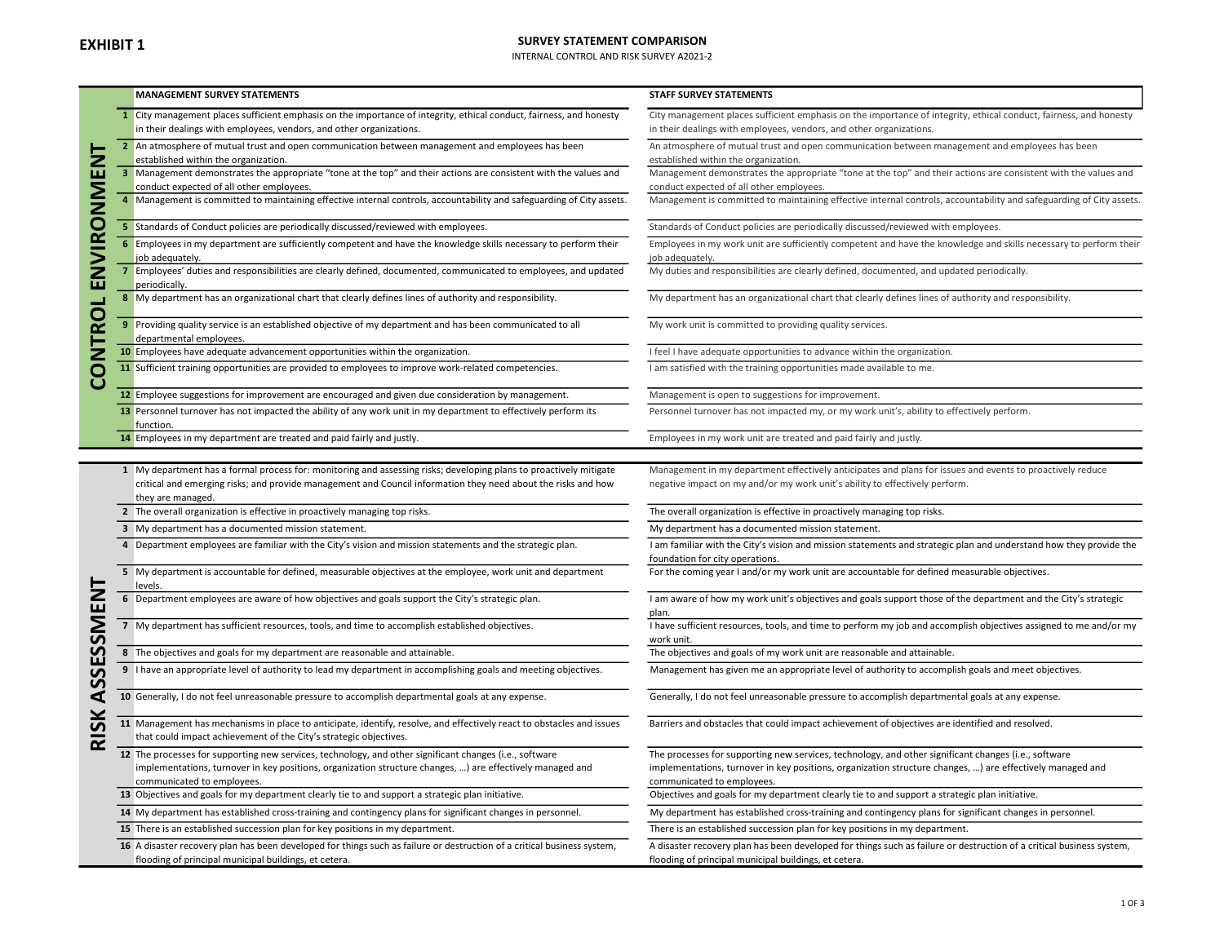## SURVEY STATEMENT COMPARISON

INTERNAL CONTROL AND RISK SURVEY A2021-2

|                  | <b>MANAGEMENT SURVEY STATEMENTS</b>                                                                                                                                                                                                                     | <b>STAFF SURVEY STATEMENTS</b>                                                                                                                                                                                                                  |
|------------------|---------------------------------------------------------------------------------------------------------------------------------------------------------------------------------------------------------------------------------------------------------|-------------------------------------------------------------------------------------------------------------------------------------------------------------------------------------------------------------------------------------------------|
|                  | City management places sufficient emphasis on the importance of integrity, ethical conduct, fairness, and honesty<br>$\mathbf{1}$<br>in their dealings with employees, vendors, and other organizations.                                                | City management places sufficient emphasis on the importance of integrity, ethical conduct, fairness, and honesty<br>in their dealings with employees, vendors, and other organizations.                                                        |
|                  | 2 An atmosphere of mutual trust and open communication between management and employees has been<br>established within the organization.                                                                                                                | An atmosphere of mutual trust and open communication between management and employees has been<br>established within the organization.                                                                                                          |
| <b>ENVIRONEN</b> | 3 Management demonstrates the appropriate "tone at the top" and their actions are consistent with the values and<br>conduct expected of all other employees.                                                                                            | Management demonstrates the appropriate "tone at the top" and their actions are consistent with the values and<br>conduct expected of all other employees.                                                                                      |
|                  | 4 Management is committed to maintaining effective internal controls, accountability and safeguarding of City assets.                                                                                                                                   | Management is committed to maintaining effective internal controls, accountability and safeguarding of City assets.                                                                                                                             |
|                  | 5 Standards of Conduct policies are periodically discussed/reviewed with employees.                                                                                                                                                                     | Standards of Conduct policies are periodically discussed/reviewed with employees.                                                                                                                                                               |
|                  | 6 Employees in my department are sufficiently competent and have the knowledge skills necessary to perform their<br>job adequately.<br>7 Employees' duties and responsibilities are clearly defined, documented, communicated to employees, and updated | Employees in my work unit are sufficiently competent and have the knowledge and skills necessary to perform their<br>job adequately.<br>My duties and responsibilities are clearly defined, documented, and updated periodically.               |
| <b>CONTROL</b>   | periodically.<br>8 My department has an organizational chart that clearly defines lines of authority and responsibility.                                                                                                                                | My department has an organizational chart that clearly defines lines of authority and responsibility.                                                                                                                                           |
|                  | 9 Providing quality service is an established objective of my department and has been communicated to all<br>departmental employees.                                                                                                                    | My work unit is committed to providing quality services.                                                                                                                                                                                        |
|                  | 10 Employees have adequate advancement opportunities within the organization.                                                                                                                                                                           | I feel I have adequate opportunities to advance within the organization.                                                                                                                                                                        |
|                  | 11 Sufficient training opportunities are provided to employees to improve work-related competencies.                                                                                                                                                    | I am satisfied with the training opportunities made available to me.                                                                                                                                                                            |
|                  | 12 Employee suggestions for improvement are encouraged and given due consideration by management.                                                                                                                                                       | Management is open to suggestions for improvement.                                                                                                                                                                                              |
|                  | 13 Personnel turnover has not impacted the ability of any work unit in my department to effectively perform its<br>function.                                                                                                                            | Personnel turnover has not impacted my, or my work unit's, ability to effectively perform.                                                                                                                                                      |
|                  | 14 Employees in my department are treated and paid fairly and justly.                                                                                                                                                                                   | Employees in my work unit are treated and paid fairly and justly.                                                                                                                                                                               |
|                  | 1 My department has a formal process for: monitoring and assessing risks; developing plans to proactively mitigate                                                                                                                                      | Management in my department effectively anticipates and plans for issues and events to proactively reduce                                                                                                                                       |
|                  | critical and emerging risks; and provide management and Council information they need about the risks and how<br>they are managed.                                                                                                                      | negative impact on my and/or my work unit's ability to effectively perform.                                                                                                                                                                     |
|                  | 2 The overall organization is effective in proactively managing top risks.                                                                                                                                                                              | The overall organization is effective in proactively managing top risks.                                                                                                                                                                        |
|                  | 3 My department has a documented mission statement.                                                                                                                                                                                                     | My department has a documented mission statement.                                                                                                                                                                                               |
|                  | 4 Department employees are familiar with the City's vision and mission statements and the strategic plan.                                                                                                                                               | I am familiar with the City's vision and mission statements and strategic plan and understand how they provide the<br>foundation for city operations.                                                                                           |
|                  | 5 My department is accountable for defined, measurable objectives at the employee, work unit and department<br>levels.                                                                                                                                  | For the coming year I and/or my work unit are accountable for defined measurable objectives.                                                                                                                                                    |
|                  | 6 Department employees are aware of how objectives and goals support the City's strategic plan.                                                                                                                                                         | I am aware of how my work unit's objectives and goals support those of the department and the City's strategic<br>plan.                                                                                                                         |
|                  | 7 My department has sufficient resources, tools, and time to accomplish established objectives.                                                                                                                                                         | I have sufficient resources, tools, and time to perform my job and accomplish objectives assigned to me and/or my<br>work unit.                                                                                                                 |
|                  | 8 The objectives and goals for my department are reasonable and attainable.                                                                                                                                                                             | The objectives and goals of my work unit are reasonable and attainable.                                                                                                                                                                         |
|                  | 9 I have an appropriate level of authority to lead my department in accomplishing goals and meeting objectives.                                                                                                                                         | Management has given me an appropriate level of authority to accomplish goals and meet objectives.                                                                                                                                              |
|                  | 10 Generally, I do not feel unreasonable pressure to accomplish departmental goals at any expense.                                                                                                                                                      | Generally, I do not feel unreasonable pressure to accomplish departmental goals at any expense.                                                                                                                                                 |
|                  | 11 Management has mechanisms in place to anticipate, identify, resolve, and effectively react to obstacles and issues<br>that could impact achievement of the City's strategic objectives.                                                              | Barriers and obstacles that could impact achievement of objectives are identified and resolved.                                                                                                                                                 |
|                  | 12 The processes for supporting new services, technology, and other significant changes (i.e., software<br>implementations, turnover in key positions, organization structure changes, ) are effectively managed and<br>communicated to employees.      | The processes for supporting new services, technology, and other significant changes (i.e., software<br>implementations, turnover in key positions, organization structure changes, ) are effectively managed and<br>communicated to employees. |
|                  | 13 Objectives and goals for my department clearly tie to and support a strategic plan initiative.                                                                                                                                                       | Objectives and goals for my department clearly tie to and support a strategic plan initiative.                                                                                                                                                  |
|                  | 14 My department has established cross-training and contingency plans for significant changes in personnel.                                                                                                                                             | My department has established cross-training and contingency plans for significant changes in personnel.                                                                                                                                        |
|                  | 15 There is an established succession plan for key positions in my department.                                                                                                                                                                          | There is an established succession plan for key positions in my department.                                                                                                                                                                     |
|                  | 16 A disaster recovery plan has been developed for things such as failure or destruction of a critical business system,<br>flooding of principal municipal buildings, et cetera.                                                                        | A disaster recovery plan has been developed for things such as failure or destruction of a critical business system,<br>flooding of principal municipal buildings, et cetera.                                                                   |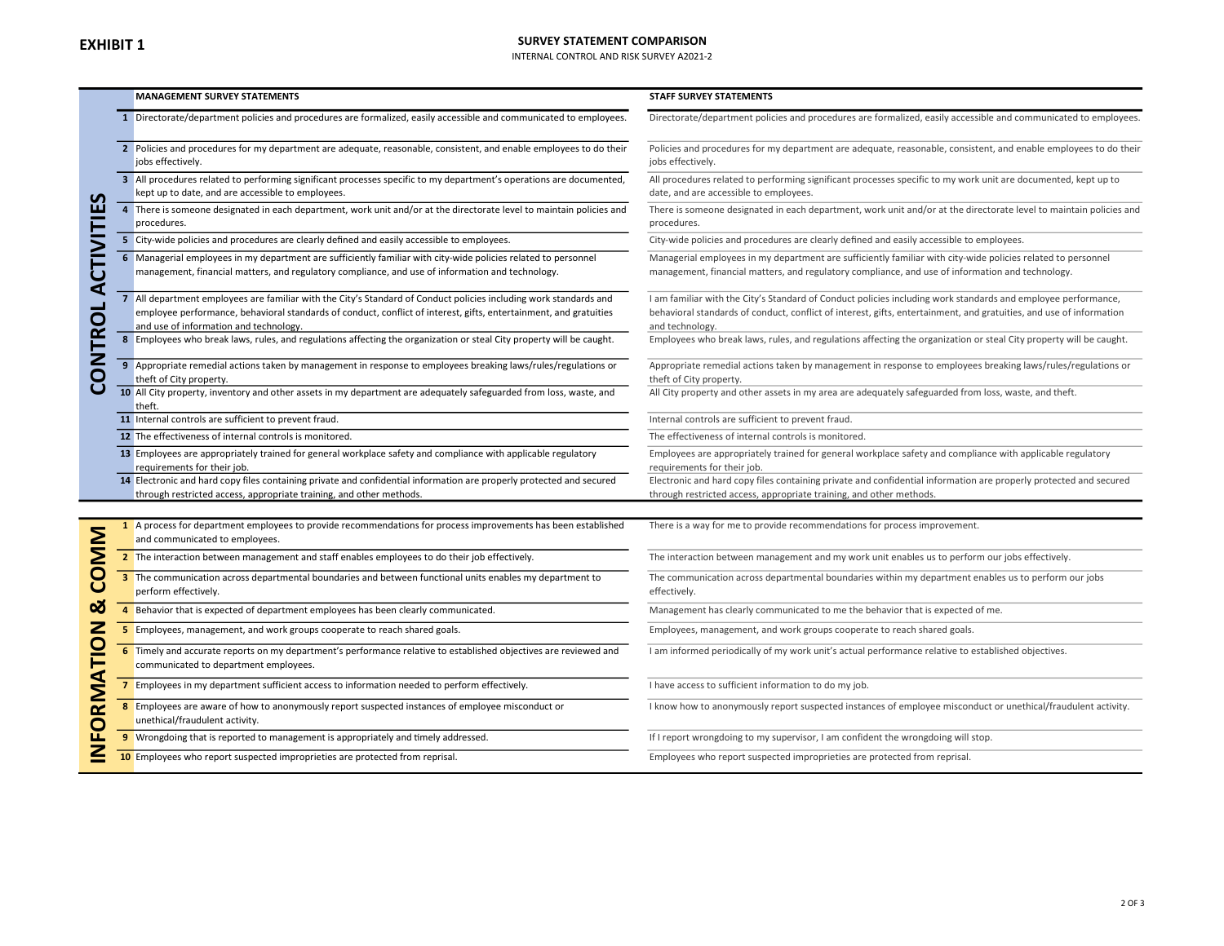## SURVEY STATEMENT COMPARISON

INTERNAL CONTROL AND RISK SURVEY A2021-2

|                                            | <b>MANAGEMENT SURVEY STATEMENTS</b>                                                                                                                                                                                                                                              | <b>STAFF SURVEY STATEMENTS</b>                                                                                                                                                                                                                          |
|--------------------------------------------|----------------------------------------------------------------------------------------------------------------------------------------------------------------------------------------------------------------------------------------------------------------------------------|---------------------------------------------------------------------------------------------------------------------------------------------------------------------------------------------------------------------------------------------------------|
|                                            | 1 Directorate/department policies and procedures are formalized, easily accessible and communicated to employees.                                                                                                                                                                | Directorate/department policies and procedures are formalized, easily accessible and communicated to employees.                                                                                                                                         |
|                                            | 2 Policies and procedures for my department are adequate, reasonable, consistent, and enable employees to do their<br>jobs effectively.                                                                                                                                          | Policies and procedures for my department are adequate, reasonable, consistent, and enable employees to do their<br>jobs effectively.                                                                                                                   |
| $\mathbf{v}$                               | 3 All procedures related to performing significant processes specific to my department's operations are documented,<br>kept up to date, and are accessible to employees.                                                                                                         | All procedures related to performing significant processes specific to my work unit are documented, kept up to<br>date, and are accessible to employees.                                                                                                |
|                                            | 4 There is someone designated in each department, work unit and/or at the directorate level to maintain policies and<br>procedures.                                                                                                                                              | There is someone designated in each department, work unit and/or at the directorate level to maintain policies and<br>procedures.                                                                                                                       |
|                                            | 5 City-wide policies and procedures are clearly defined and easily accessible to employees.                                                                                                                                                                                      | City-wide policies and procedures are clearly defined and easily accessible to employees.                                                                                                                                                               |
| CTIVITIE                                   | 6 Managerial employees in my department are sufficiently familiar with city-wide policies related to personnel<br>management, financial matters, and regulatory compliance, and use of information and technology.                                                               | Managerial employees in my department are sufficiently familiar with city-wide policies related to personnel<br>management, financial matters, and regulatory compliance, and use of information and technology.                                        |
| ৰ<br><b>CONTROL</b>                        | 7 All department employees are familiar with the City's Standard of Conduct policies including work standards and<br>employee performance, behavioral standards of conduct, conflict of interest, gifts, entertainment, and gratuities<br>and use of information and technology. | I am familiar with the City's Standard of Conduct policies including work standards and employee performance,<br>behavioral standards of conduct, conflict of interest, gifts, entertainment, and gratuities, and use of information<br>and technology. |
|                                            | 8 Employees who break laws, rules, and regulations affecting the organization or steal City property will be caught.                                                                                                                                                             | Employees who break laws, rules, and regulations affecting the organization or steal City property will be caught.                                                                                                                                      |
|                                            | 9 Appropriate remedial actions taken by management in response to employees breaking laws/rules/regulations or<br>theft of City property.                                                                                                                                        | Appropriate remedial actions taken by management in response to employees breaking laws/rules/regulations or<br>theft of City property.                                                                                                                 |
|                                            | 10 All City property, inventory and other assets in my department are adequately safeguarded from loss, waste, and<br>theft.                                                                                                                                                     | All City property and other assets in my area are adequately safeguarded from loss, waste, and theft.                                                                                                                                                   |
|                                            | 11 Internal controls are sufficient to prevent fraud.                                                                                                                                                                                                                            | Internal controls are sufficient to prevent fraud.                                                                                                                                                                                                      |
|                                            | 12 The effectiveness of internal controls is monitored.                                                                                                                                                                                                                          | The effectiveness of internal controls is monitored.                                                                                                                                                                                                    |
|                                            | 13 Employees are appropriately trained for general workplace safety and compliance with applicable regulatory<br>requirements for their job.                                                                                                                                     | Employees are appropriately trained for general workplace safety and compliance with applicable regulatory<br>requirements for their job.                                                                                                               |
|                                            | 14 Electronic and hard copy files containing private and confidential information are properly protected and secured<br>through restricted access, appropriate training, and other methods.                                                                                      | Electronic and hard copy files containing private and confidential information are properly protected and secured<br>through restricted access, appropriate training, and other methods.                                                                |
|                                            |                                                                                                                                                                                                                                                                                  |                                                                                                                                                                                                                                                         |
| <b>MMO</b>                                 | 1 A process for department employees to provide recommendations for process improvements has been established<br>and communicated to employees.                                                                                                                                  | There is a way for me to provide recommendations for process improvement.                                                                                                                                                                               |
|                                            | 2 The interaction between management and staff enables employees to do their job effectively.                                                                                                                                                                                    | The interaction between management and my work unit enables us to perform our jobs effectively.                                                                                                                                                         |
| $\overline{C}$                             | 3 The communication across departmental boundaries and between functional units enables my department to<br>perform effectively.                                                                                                                                                 | The communication across departmental boundaries within my department enables us to perform our jobs<br>effectively.                                                                                                                                    |
| ಹ                                          | 4 Behavior that is expected of department employees has been clearly communicated.                                                                                                                                                                                               | Management has clearly communicated to me the behavior that is expected of me.                                                                                                                                                                          |
| $\mathbf{z}$                               | 5 Employees, management, and work groups cooperate to reach shared goals.                                                                                                                                                                                                        | Employees, management, and work groups cooperate to reach shared goals.                                                                                                                                                                                 |
| TIO                                        | 6 Timely and accurate reports on my department's performance relative to established objectives are reviewed and<br>communicated to department employees.                                                                                                                        | I am informed periodically of my work unit's actual performance relative to established objectives.                                                                                                                                                     |
|                                            | 7 Employees in my department sufficient access to information needed to perform effectively.                                                                                                                                                                                     | I have access to sufficient information to do my job.                                                                                                                                                                                                   |
| <b>RMA</b><br>Ō                            | 8 Employees are aware of how to anonymously report suspected instances of employee misconduct or<br>unethical/fraudulent activity.                                                                                                                                               | I know how to anonymously report suspected instances of employee misconduct or unethical/fraudulent activity.                                                                                                                                           |
| ū.                                         | 9 Wrongdoing that is reported to management is appropriately and timely addressed.                                                                                                                                                                                               | If I report wrongdoing to my supervisor, I am confident the wrongdoing will stop.                                                                                                                                                                       |
| $\overline{\underline{\underline{\bf Z}}}$ | 10 Employees who report suspected improprieties are protected from reprisal.                                                                                                                                                                                                     | Employees who report suspected improprieties are protected from reprisal.                                                                                                                                                                               |